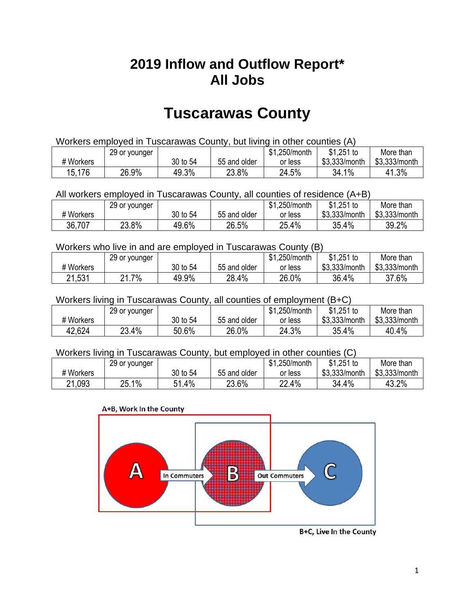## **2019 Inflow and Outflow Report\* All Jobs**

# **Tuscarawas County**

| Workers employed in Tuscarawas County, but living in other counties (A) |                                                            |          |              |         |               |               |  |  |  |
|-------------------------------------------------------------------------|------------------------------------------------------------|----------|--------------|---------|---------------|---------------|--|--|--|
|                                                                         | $$1.251$ to<br>\$1,250/month<br>More than<br>29 or younger |          |              |         |               |               |  |  |  |
| # Workers                                                               |                                                            | 30 to 54 | 55 and older | or less | \$3.333/month | \$3,333/month |  |  |  |
| 15,176                                                                  | 26.9%                                                      | 49.3%    | 23.8%        | 24.5%   | 34.1%         | 41.3%         |  |  |  |

All workers employed in Tuscarawas County, all counties of residence (A+B)

|           | 29 or younger |          |              | \$1,250/month | \$1,251 to    | More than     |
|-----------|---------------|----------|--------------|---------------|---------------|---------------|
| # Workers |               | 30 to 54 | 55 and older | or less       | \$3,333/month | \$3,333/month |
| 36,707    | 23.8%         | 49.6%    | 26.5%        | 25.4%         | 35.4%         | 39.2%         |

#### Workers who live in and are employed in Tuscarawas County (B)

|           | 29 or younger  |          |              | ሱ 4<br>1,250/month<br>ונס | $$1,251$ to   | More than     |
|-----------|----------------|----------|--------------|---------------------------|---------------|---------------|
| # Workers |                | 30 to 54 | 55 and older | or less                   | \$3,333/month | \$3,333/month |
| 21,531    | 7%<br><u>.</u> | 49.9%    | 28.4%        | 26.0%                     | 36.4%         | 37.6%         |

Workers living in Tuscarawas County, all counties of employment (B+C)

|           | 29 or younger |          |              | \$1,250/month | \$1,251 to    | More than     |
|-----------|---------------|----------|--------------|---------------|---------------|---------------|
| # Workers |               | 30 to 54 | 55 and older | or less       | \$3,333/month | \$3,333/month |
| 42,624    | 23.4%         | 50.6%    | 26.0%        | 24.3%         | 35.4%         | 40.4%         |

#### Workers living in Tuscarawas County, but employed in other counties (C)

|           | 29 or younger |             |              | \$1,250/month | $$1,251$ to   | More than     |
|-----------|---------------|-------------|--------------|---------------|---------------|---------------|
| # Workers |               | 30 to 54    | 55 and older | or less       | \$3,333/month | \$3,333/month |
| 21,093    | 25.1%         | . 4%<br>E 4 | 23.6%        | 22.4%         | 34.4%         | 43.2%         |





B+C, Live In the County